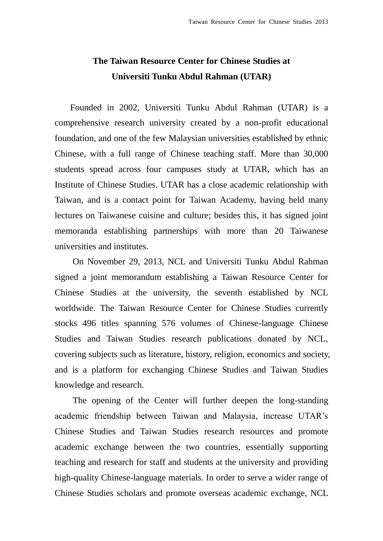## **The Taiwan Resource Center for Chinese Studies at Universiti Tunku Abdul Rahman (UTAR)**

Founded in 2002, Universiti Tunku Abdul Rahman (UTAR) is a comprehensive research university created by a non-profit educational foundation, and one of the few Malaysian universities established by ethnic Chinese, with a full range of Chinese teaching staff. More than 30,000 students spread across four campuses study at UTAR, which has an Institute of Chinese Studies. UTAR has a close academic relationship with Taiwan, and is a contact point for Taiwan Academy, having held many lectures on Taiwanese cuisine and culture; besides this, it has signed joint memoranda establishing partnerships with more than 20 Taiwanese universities and institutes.

On November 29, 2013, NCL and Universiti Tunku Abdul Rahman signed a joint memorandum establishing a Taiwan Resource Center for Chinese Studies at the university, the seventh established by NCL worldwide. The Taiwan Resource Center for Chinese Studies currently stocks 496 titles spanning 576 volumes of Chinese-language Chinese Studies and Taiwan Studies research publications donated by NCL, covering subjects such as literature, history, religion, economics and society, and is a platform for exchanging Chinese Studies and Taiwan Studies knowledge and research.

The opening of the Center will further deepen the long-standing academic friendship between Taiwan and Malaysia, increase UTAR's Chinese Studies and Taiwan Studies research resources and promote academic exchange between the two countries, essentially supporting teaching and research for staff and students at the university and providing high-quality Chinese-language materials. In order to serve a wider range of Chinese Studies scholars and promote overseas academic exchange, NCL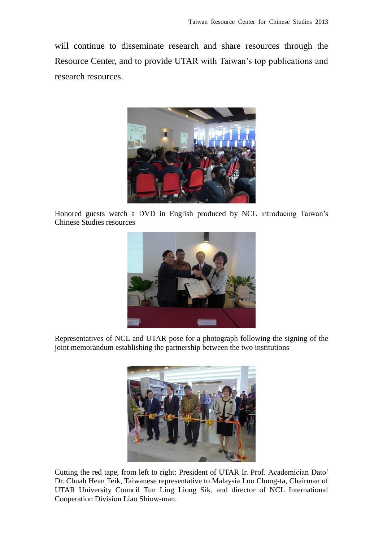will continue to disseminate research and share resources through the Resource Center, and to provide UTAR with Taiwan's top publications and research resources.



Honored guests watch a DVD in English produced by NCL introducing Taiwan's Chinese Studies resources



Representatives of NCL and UTAR pose for a photograph following the signing of the joint memorandum establishing the partnership between the two institutions



Cutting the red tape, from left to right: President of UTAR Ir. Prof. Academician Dato' Dr. Chuah Hean Teik, Taiwanese representative to Malaysia Luo Chung-ta, Chairman of UTAR University Council Tun Ling Liong Sik, and director of NCL International Cooperation Division Liao Shiow-man.